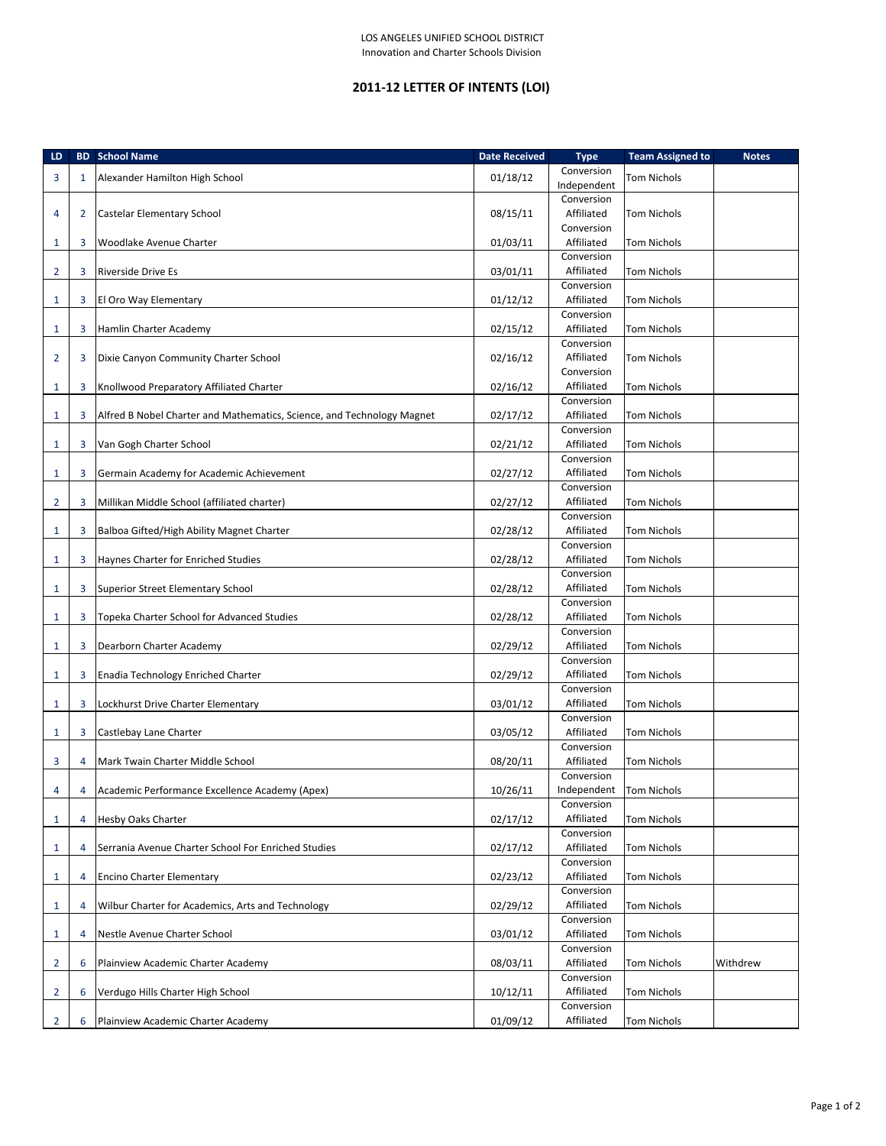## **2011-12 LETTER OF INTENTS (LOI)**

| LD             |                | <b>BD</b> School Name                                                  | <b>Date Received</b> | <b>Type</b>              | <b>Team Assigned to</b> | <b>Notes</b> |
|----------------|----------------|------------------------------------------------------------------------|----------------------|--------------------------|-------------------------|--------------|
| 3              | $\mathbf{1}$   | Alexander Hamilton High School                                         | 01/18/12             | Conversion               | Tom Nichols             |              |
|                |                |                                                                        |                      | Independent              |                         |              |
|                |                |                                                                        |                      | Conversion               |                         |              |
| 4              | $\overline{2}$ | Castelar Elementary School                                             | 08/15/11             | Affiliated<br>Conversion | Tom Nichols             |              |
| 1              | 3              | Woodlake Avenue Charter                                                | 01/03/11             | Affiliated               | Tom Nichols             |              |
|                |                |                                                                        |                      | Conversion               |                         |              |
| $\overline{2}$ | 3              | <b>Riverside Drive Es</b>                                              | 03/01/11             | Affiliated               | Tom Nichols             |              |
|                |                |                                                                        |                      | Conversion               |                         |              |
| 1              | 3              | El Oro Way Elementary                                                  | 01/12/12             | Affiliated               | Tom Nichols             |              |
|                |                |                                                                        |                      | Conversion               |                         |              |
| 1              | 3              | Hamlin Charter Academy                                                 | 02/15/12             | Affiliated               | Tom Nichols             |              |
|                |                |                                                                        |                      | Conversion               |                         |              |
| $\overline{2}$ | 3              | Dixie Canyon Community Charter School                                  | 02/16/12             | Affiliated<br>Conversion | Tom Nichols             |              |
| 1              | 3              | Knollwood Preparatory Affiliated Charter                               | 02/16/12             | Affiliated               | Tom Nichols             |              |
|                |                |                                                                        |                      | Conversion               |                         |              |
| 1              | 3              | Alfred B Nobel Charter and Mathematics, Science, and Technology Magnet | 02/17/12             | Affiliated               | Tom Nichols             |              |
|                |                |                                                                        |                      | Conversion               |                         |              |
| 1              | 3              | Van Gogh Charter School                                                | 02/21/12             | Affiliated               | Tom Nichols             |              |
|                |                |                                                                        |                      | Conversion               |                         |              |
| 1              | 3              | Germain Academy for Academic Achievement                               | 02/27/12             | Affiliated               | Tom Nichols             |              |
|                |                |                                                                        |                      | Conversion               |                         |              |
| 2              | 3              | Millikan Middle School (affiliated charter)                            | 02/27/12             | Affiliated               | Tom Nichols             |              |
| 1              | 3              | Balboa Gifted/High Ability Magnet Charter                              | 02/28/12             | Conversion<br>Affiliated | Tom Nichols             |              |
|                |                |                                                                        |                      | Conversion               |                         |              |
| 1              | 3              | Haynes Charter for Enriched Studies                                    | 02/28/12             | Affiliated               | Tom Nichols             |              |
|                |                |                                                                        |                      | Conversion               |                         |              |
| 1              | 3              | Superior Street Elementary School                                      | 02/28/12             | Affiliated               | Tom Nichols             |              |
|                |                |                                                                        |                      | Conversion               |                         |              |
| 1              | 3              | Topeka Charter School for Advanced Studies                             | 02/28/12             | Affiliated               | Tom Nichols             |              |
|                |                |                                                                        |                      | Conversion               |                         |              |
| 1              | 3              | Dearborn Charter Academy                                               | 02/29/12             | Affiliated               | Tom Nichols             |              |
|                |                |                                                                        |                      | Conversion               |                         |              |
| 1              | 3              | Enadia Technology Enriched Charter                                     | 02/29/12             | Affiliated<br>Conversion | Tom Nichols             |              |
| 1              | 3              | Lockhurst Drive Charter Elementary                                     | 03/01/12             | Affiliated               | Tom Nichols             |              |
|                |                |                                                                        |                      | Conversion               |                         |              |
| 1              | 3              | Castlebay Lane Charter                                                 | 03/05/12             | Affiliated               | Tom Nichols             |              |
|                |                |                                                                        |                      | Conversion               |                         |              |
| 3              | 4              | Mark Twain Charter Middle School                                       | 08/20/11             | Affiliated               | Tom Nichols             |              |
|                |                |                                                                        |                      | Conversion               |                         |              |
| 4              |                | 4 Academic Performance Excellence Academy (Apex)                       | 10/26/11             | Independent Tom Nichols  |                         |              |
|                |                |                                                                        |                      | Conversion               |                         |              |
| 1              | 4              | <b>Hesby Oaks Charter</b>                                              | 02/17/12             | Affiliated<br>Conversion | Tom Nichols             |              |
| 1              | 4              | Serrania Avenue Charter School For Enriched Studies                    | 02/17/12             | Affiliated               | Tom Nichols             |              |
|                |                |                                                                        |                      | Conversion               |                         |              |
| 1              | 4              | <b>Encino Charter Elementary</b>                                       | 02/23/12             | Affiliated               | Tom Nichols             |              |
|                |                |                                                                        |                      | Conversion               |                         |              |
| 1              | 4              | Wilbur Charter for Academics, Arts and Technology                      | 02/29/12             | Affiliated               | Tom Nichols             |              |
|                |                |                                                                        |                      | Conversion               |                         |              |
| 1              | 4              | Nestle Avenue Charter School                                           | 03/01/12             | Affiliated               | Tom Nichols             |              |
|                |                |                                                                        |                      | Conversion               |                         |              |
| 2              | 6              | Plainview Academic Charter Academy                                     | 08/03/11             | Affiliated<br>Conversion | Tom Nichols             | Withdrew     |
| 2              | 6              | Verdugo Hills Charter High School                                      | 10/12/11             | Affiliated               | Tom Nichols             |              |
|                |                |                                                                        |                      | Conversion               |                         |              |
| 2              | 6              | Plainview Academic Charter Academy                                     | 01/09/12             | Affiliated               | Tom Nichols             |              |